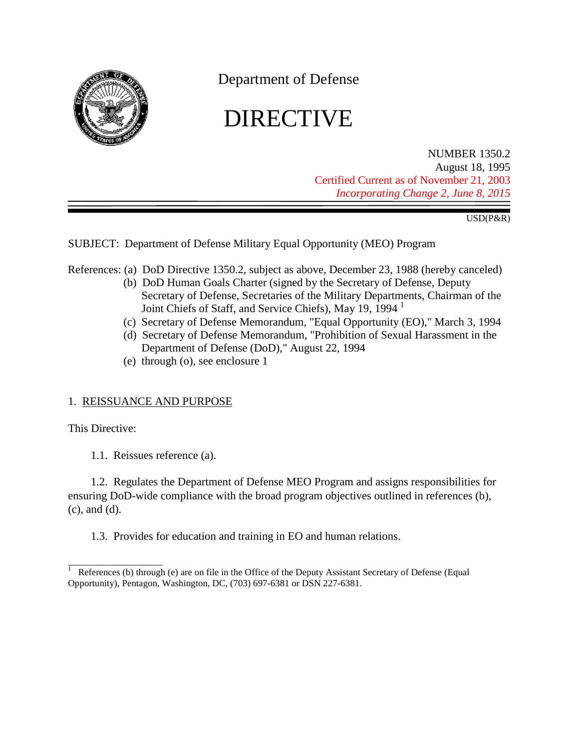

Department of Defense

# DIRECTIVE

NUMBER 1350.2 August 18, 1995 Certified Current as of November 21, 2003 *Incorporating Change 2, June 8, 2015*

USD(P&R)

SUBJECT: Department of Defense Military Equal Opportunity (MEO) Program

<span id="page-0-1"></span><span id="page-0-0"></span>References: (a) DoD Directive 1350.2, subject as above, December 23, 1988 (hereby canceled)

- (b) DoD Human Goals Charter (signed by the Secretary of Defense, Deputy Secretary of Defense, Secretaries of the Military Departments, Chairman of the Joint Chiefs of Staff, and Service Chiefs), May 19, 1994 1
- (c) Secretary of Defense Memorandum, "Equal Opportunity (EO)," March 3, 1994
- <span id="page-0-2"></span>(d) Secretary of Defense Memorandum, "Prohibition of Sexual Harassment in the Department of Defense (DoD)," August 22, 1994
- (e) through (o), see enclosure 1

# 1. REISSUANCE AND PURPOSE

This Directive:

1.1. Reissues reference (a).

1.2. Regulates the Department of Defense MEO Program and assigns responsibilities for ensuring DoD-wide compliance with the broad program objectives outlined in [references \(b\),](#page-0-0) [\(c\),](#page-0-1) and [\(d\).](#page-0-2)

1.3. Provides for education and training in EO and human relations.

\_\_\_\_\_\_\_\_\_\_\_\_\_\_\_\_\_\_\_\_ References (b) through (e) are on file in the Office of the Deputy Assistant Secretary of Defense (Equal Opportunity), Pentagon, Washington, DC, (703) 697-6381 or DSN 227-6381.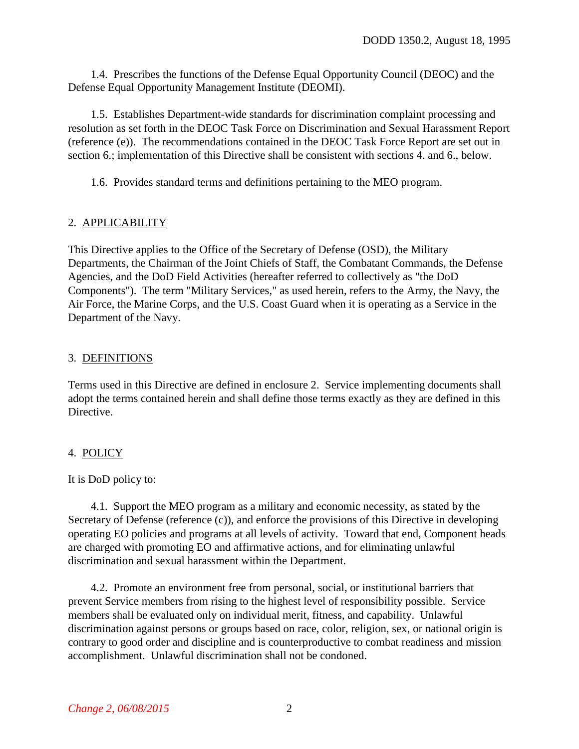1.4. Prescribes the functions of the Defense Equal Opportunity Council (DEOC) and the Defense Equal Opportunity Management Institute (DEOMI).

1.5. Establishes Department-wide standards for discrimination complaint processing and resolution as set forth in the DEOC Task Force on Discrimination and Sexual Harassment Report [\(reference \(e\)\).](#page-14-0) The recommendations contained in the DEOC Task Force Report are set out in [section 6.;](#page-7-0) implementation of this Directive shall be consistent with [sections 4.](#page-1-0) and 6., below.

1.6. Provides standard terms and definitions pertaining to the MEO program.

# 2. APPLICABILITY

This Directive applies to the Office of the Secretary of Defense (OSD), the Military Departments, the Chairman of the Joint Chiefs of Staff, the Combatant Commands, the Defense Agencies, and the DoD Field Activities (hereafter referred to collectively as "the DoD Components"). The term "Military Services," as used herein, refers to the Army, the Navy, the Air Force, the Marine Corps, and the U.S. Coast Guard when it is operating as a Service in the Department of the Navy.

# 3. DEFINITIONS

Terms used in this Directive are defined in enclosure 2. Service implementing documents shall adopt the terms contained herein and shall define those terms exactly as they are defined in this Directive.

# <span id="page-1-0"></span>4. POLICY

#### It is DoD policy to:

4.1. Support the MEO program as a military and economic necessity, as stated by the Secretary of Defense (reference (c)), and enforce the provisions of this Directive in developing operating EO policies and programs at all levels of activity. Toward that end, Component heads are charged with promoting EO and affirmative actions, and for eliminating unlawful discrimination and sexual harassment within the Department.

4.2. Promote an environment free from personal, social, or institutional barriers that prevent Service members from rising to the highest level of responsibility possible. Service members shall be evaluated only on individual merit, fitness, and capability. Unlawful discrimination against persons or groups based on race, color, religion, sex, or national origin is contrary to good order and discipline and is counterproductive to combat readiness and mission accomplishment. Unlawful discrimination shall not be condoned.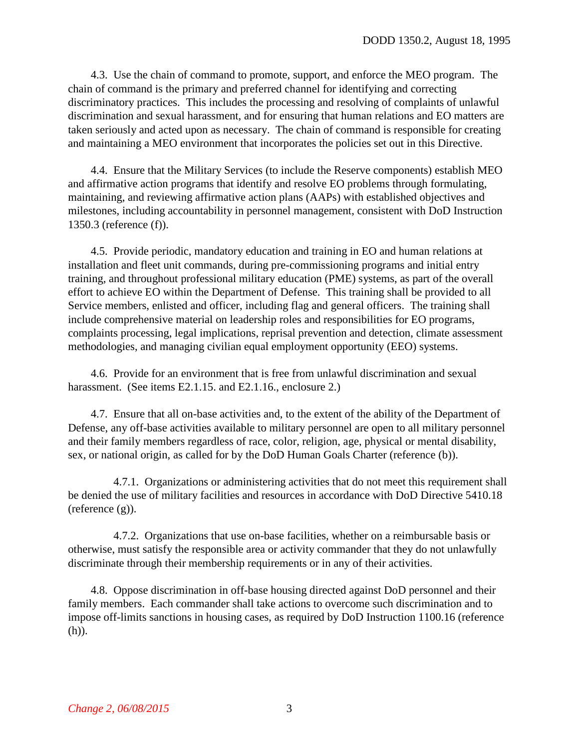4.3. Use the chain of command to promote, support, and enforce the MEO program. The chain of command is the primary and preferred channel for identifying and correcting discriminatory practices. This includes the processing and resolving of complaints of unlawful discrimination and sexual harassment, and for ensuring that human relations and EO matters are taken seriously and acted upon as necessary. The chain of command is responsible for creating and maintaining a MEO environment that incorporates the policies set out in this Directive.

4.4. Ensure that the Military Services (to include the Reserve components) establish MEO and affirmative action programs that identify and resolve EO problems through formulating, maintaining, and reviewing affirmative action plans (AAPs) with established objectives and milestones, including accountability in personnel management, consistent with DoD Instruction 1350.3 [\(reference \(f\)\).](#page-14-1)

4.5. Provide periodic, mandatory education and training in EO and human relations at installation and fleet unit commands, during pre-commissioning programs and initial entry training, and throughout professional military education (PME) systems, as part of the overall effort to achieve EO within the Department of Defense. This training shall be provided to all Service members, enlisted and officer, including flag and general officers. The training shall include comprehensive material on leadership roles and responsibilities for EO programs, complaints processing, legal implications, reprisal prevention and detection, climate assessment methodologies, and managing civilian equal employment opportunity (EEO) systems.

4.6. Provide for an environment that is free from unlawful discrimination and sexual harassment. (See items [E2.1.15.](#page-17-0) and [E2.1.16.,](#page-17-1) enclosure 2.)

4.7. Ensure that all on-base activities and, to the extent of the ability of the Department of Defense, any off-base activities available to military personnel are open to all military personnel and their family members regardless of race, color, religion, age, physical or mental disability, sex, or national origin, as called for by the DoD Human Goals Charter [\(reference \(b\)\).](#page-0-0)

4.7.1. Organizations or administering activities that do not meet this requirement shall be denied the use of military facilities and resources in accordance with DoD Directive 5410.18 [\(reference \(g\)\).](#page-14-2)

4.7.2. Organizations that use on-base facilities, whether on a reimbursable basis or otherwise, must satisfy the responsible area or activity commander that they do not unlawfully discriminate through their membership requirements or in any of their activities.

4.8. Oppose discrimination in off-base housing directed against DoD personnel and their family members. Each commander shall take actions to overcome such discrimination and to impose off-limits sanctions in housing cases, as required by DoD Instruction 1100.16 (reference (h)).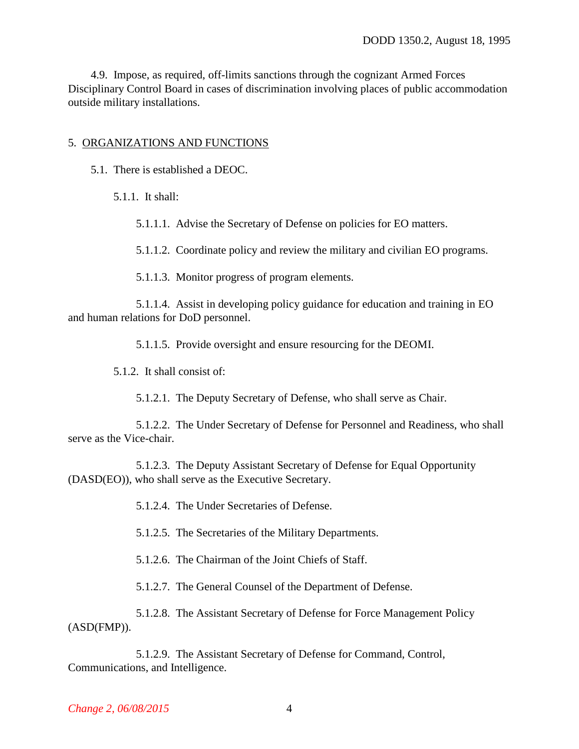4.9. Impose, as required, off-limits sanctions through the cognizant Armed Forces Disciplinary Control Board in cases of discrimination involving places of public accommodation outside military installations.

#### 5. ORGANIZATIONS AND FUNCTIONS

- 5.1. There is established a DEOC.
	- 5.1.1. It shall:

5.1.1.1. Advise the Secretary of Defense on policies for EO matters.

5.1.1.2. Coordinate policy and review the military and civilian EO programs.

5.1.1.3. Monitor progress of program elements.

5.1.1.4. Assist in developing policy guidance for education and training in EO and human relations for DoD personnel.

5.1.1.5. Provide oversight and ensure resourcing for the DEOMI.

5.1.2. It shall consist of:

5.1.2.1. The Deputy Secretary of Defense, who shall serve as Chair.

5.1.2.2. The Under Secretary of Defense for Personnel and Readiness, who shall serve as the Vice-chair.

5.1.2.3. The Deputy Assistant Secretary of Defense for Equal Opportunity (DASD(EO)), who shall serve as the Executive Secretary.

5.1.2.4. The Under Secretaries of Defense.

5.1.2.5. The Secretaries of the Military Departments.

5.1.2.6. The Chairman of the Joint Chiefs of Staff.

5.1.2.7. The General Counsel of the Department of Defense.

5.1.2.8. The Assistant Secretary of Defense for Force Management Policy (ASD(FMP)).

5.1.2.9. The Assistant Secretary of Defense for Command, Control, Communications, and Intelligence.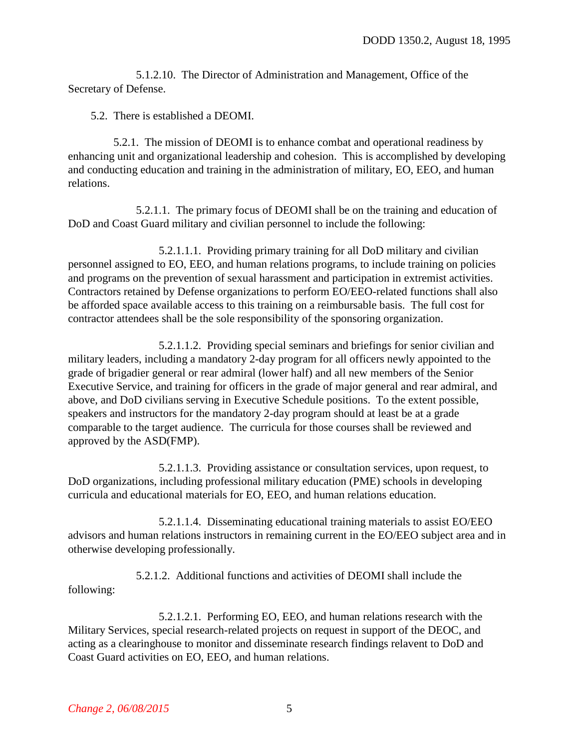5.1.2.10. The Director of Administration and Management, Office of the Secretary of Defense.

5.2. There is established a DEOMI.

5.2.1. The mission of DEOMI is to enhance combat and operational readiness by enhancing unit and organizational leadership and cohesion. This is accomplished by developing and conducting education and training in the administration of military, EO, EEO, and human relations.

5.2.1.1. The primary focus of DEOMI shall be on the training and education of DoD and Coast Guard military and civilian personnel to include the following:

5.2.1.1.1. Providing primary training for all DoD military and civilian personnel assigned to EO, EEO, and human relations programs, to include training on policies and programs on the prevention of sexual harassment and participation in extremist activities. Contractors retained by Defense organizations to perform EO/EEO-related functions shall also be afforded space available access to this training on a reimbursable basis. The full cost for contractor attendees shall be the sole responsibility of the sponsoring organization.

5.2.1.1.2. Providing special seminars and briefings for senior civilian and military leaders, including a mandatory 2-day program for all officers newly appointed to the grade of brigadier general or rear admiral (lower half) and all new members of the Senior Executive Service, and training for officers in the grade of major general and rear admiral, and above, and DoD civilians serving in Executive Schedule positions. To the extent possible, speakers and instructors for the mandatory 2-day program should at least be at a grade comparable to the target audience. The curricula for those courses shall be reviewed and approved by the ASD(FMP).

5.2.1.1.3. Providing assistance or consultation services, upon request, to DoD organizations, including professional military education (PME) schools in developing curricula and educational materials for EO, EEO, and human relations education.

5.2.1.1.4. Disseminating educational training materials to assist EO/EEO advisors and human relations instructors in remaining current in the EO/EEO subject area and in otherwise developing professionally.

5.2.1.2. Additional functions and activities of DEOMI shall include the following:

5.2.1.2.1. Performing EO, EEO, and human relations research with the Military Services, special research-related projects on request in support of the DEOC, and acting as a clearinghouse to monitor and disseminate research findings relavent to DoD and Coast Guard activities on EO, EEO, and human relations.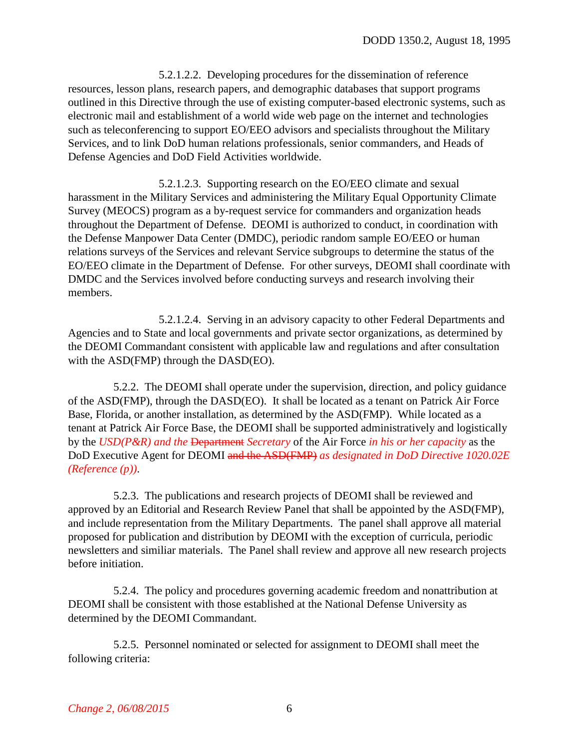5.2.1.2.2. Developing procedures for the dissemination of reference resources, lesson plans, research papers, and demographic databases that support programs outlined in this Directive through the use of existing computer-based electronic systems, such as electronic mail and establishment of a world wide web page on the internet and technologies such as teleconferencing to support EO/EEO advisors and specialists throughout the Military Services, and to link DoD human relations professionals, senior commanders, and Heads of Defense Agencies and DoD Field Activities worldwide.

5.2.1.2.3. Supporting research on the EO/EEO climate and sexual harassment in the Military Services and administering the Military Equal Opportunity Climate Survey (MEOCS) program as a by-request service for commanders and organization heads throughout the Department of Defense. DEOMI is authorized to conduct, in coordination with the Defense Manpower Data Center (DMDC), periodic random sample EO/EEO or human relations surveys of the Services and relevant Service subgroups to determine the status of the EO/EEO climate in the Department of Defense. For other surveys, DEOMI shall coordinate with DMDC and the Services involved before conducting surveys and research involving their members.

5.2.1.2.4. Serving in an advisory capacity to other Federal Departments and Agencies and to State and local governments and private sector organizations, as determined by the DEOMI Commandant consistent with applicable law and regulations and after consultation with the ASD(FMP) through the DASD(EO).

5.2.2. The DEOMI shall operate under the supervision, direction, and policy guidance of the ASD(FMP), through the DASD(EO). It shall be located as a tenant on Patrick Air Force Base, Florida, or another installation, as determined by the ASD(FMP). While located as a tenant at Patrick Air Force Base, the DEOMI shall be supported administratively and logistically by the *USD(P&R) and the* Department *Secretary* of the Air Force *in his or her capacity* as the DoD Executive Agent for DEOMI and the ASD(FMP) *as designated in DoD Directive 1020.02E (Reference (p))*.

5.2.3. The publications and research projects of DEOMI shall be reviewed and approved by an Editorial and Research Review Panel that shall be appointed by the ASD(FMP), and include representation from the Military Departments. The panel shall approve all material proposed for publication and distribution by DEOMI with the exception of curricula, periodic newsletters and similiar materials. The Panel shall review and approve all new research projects before initiation.

5.2.4. The policy and procedures governing academic freedom and nonattribution at DEOMI shall be consistent with those established at the National Defense University as determined by the DEOMI Commandant.

5.2.5. Personnel nominated or selected for assignment to DEOMI shall meet the following criteria: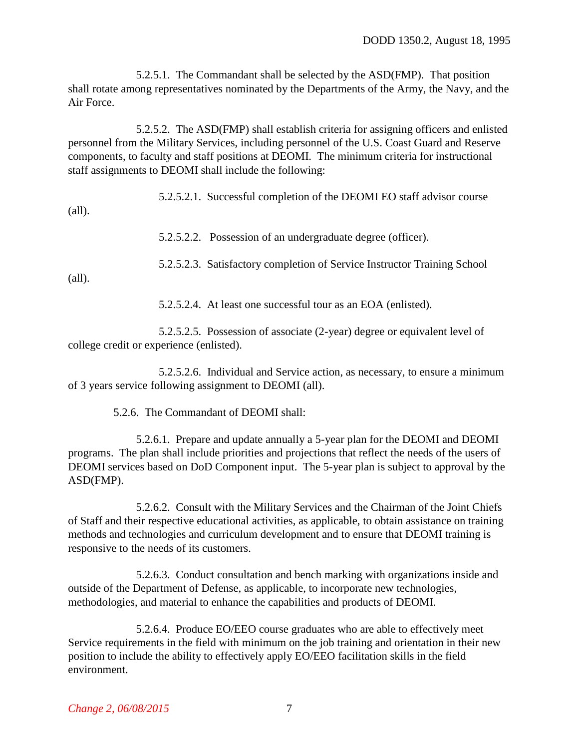5.2.5.1. The Commandant shall be selected by the ASD(FMP). That position shall rotate among representatives nominated by the Departments of the Army, the Navy, and the Air Force.

5.2.5.2. The ASD(FMP) shall establish criteria for assigning officers and enlisted personnel from the Military Services, including personnel of the U.S. Coast Guard and Reserve components, to faculty and staff positions at DEOMI. The minimum criteria for instructional staff assignments to DEOMI shall include the following:

5.2.5.2.1. Successful completion of the DEOMI EO staff advisor course

5.2.5.2.2. Possession of an undergraduate degree (officer).

5.2.5.2.3. Satisfactory completion of Service Instructor Training School

(all).

(all).

5.2.5.2.4. At least one successful tour as an EOA (enlisted).

5.2.5.2.5. Possession of associate (2-year) degree or equivalent level of college credit or experience (enlisted).

5.2.5.2.6. Individual and Service action, as necessary, to ensure a minimum of 3 years service following assignment to DEOMI (all).

5.2.6. The Commandant of DEOMI shall:

5.2.6.1. Prepare and update annually a 5-year plan for the DEOMI and DEOMI programs. The plan shall include priorities and projections that reflect the needs of the users of DEOMI services based on DoD Component input. The 5-year plan is subject to approval by the ASD(FMP).

5.2.6.2. Consult with the Military Services and the Chairman of the Joint Chiefs of Staff and their respective educational activities, as applicable, to obtain assistance on training methods and technologies and curriculum development and to ensure that DEOMI training is responsive to the needs of its customers.

5.2.6.3. Conduct consultation and bench marking with organizations inside and outside of the Department of Defense, as applicable, to incorporate new technologies, methodologies, and material to enhance the capabilities and products of DEOMI.

5.2.6.4. Produce EO/EEO course graduates who are able to effectively meet Service requirements in the field with minimum on the job training and orientation in their new position to include the ability to effectively apply EO/EEO facilitation skills in the field environment.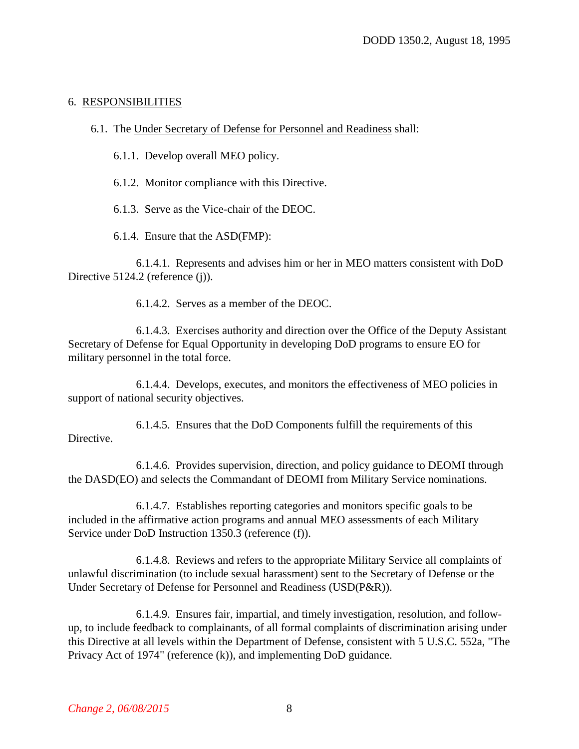#### <span id="page-7-0"></span>6. RESPONSIBILITIES

- 6.1. The Under Secretary of Defense for Personnel and Readiness shall:
	- 6.1.1. Develop overall MEO policy.
	- 6.1.2. Monitor compliance with this Directive.
	- 6.1.3. Serve as the Vice-chair of the DEOC.

6.1.4. Ensure that the ASD(FMP):

6.1.4.1. Represents and advises him or her in MEO matters consistent with DoD Directive 5124.2 (reference (j)).

6.1.4.2. Serves as a member of the DEOC.

6.1.4.3. Exercises authority and direction over the Office of the Deputy Assistant Secretary of Defense for Equal Opportunity in developing DoD programs to ensure EO for military personnel in the total force.

6.1.4.4. Develops, executes, and monitors the effectiveness of MEO policies in support of national security objectives.

6.1.4.5. Ensures that the DoD Components fulfill the requirements of this Directive.

6.1.4.6. Provides supervision, direction, and policy guidance to DEOMI through the DASD(EO) and selects the Commandant of DEOMI from Military Service nominations.

6.1.4.7. Establishes reporting categories and monitors specific goals to be included in the affirmative action programs and annual MEO assessments of each Military Service under DoD Instruction 1350.3 (reference (f)).

6.1.4.8. Reviews and refers to the appropriate Military Service all complaints of unlawful discrimination (to include sexual harassment) sent to the Secretary of Defense or the Under Secretary of Defense for Personnel and Readiness (USD(P&R)).

6.1.4.9. Ensures fair, impartial, and timely investigation, resolution, and followup, to include feedback to complainants, of all formal complaints of discrimination arising under this Directive at all levels within the Department of Defense, consistent with 5 U.S.C. 552a, "The Privacy Act of 1974" (reference (k)), and implementing DoD guidance.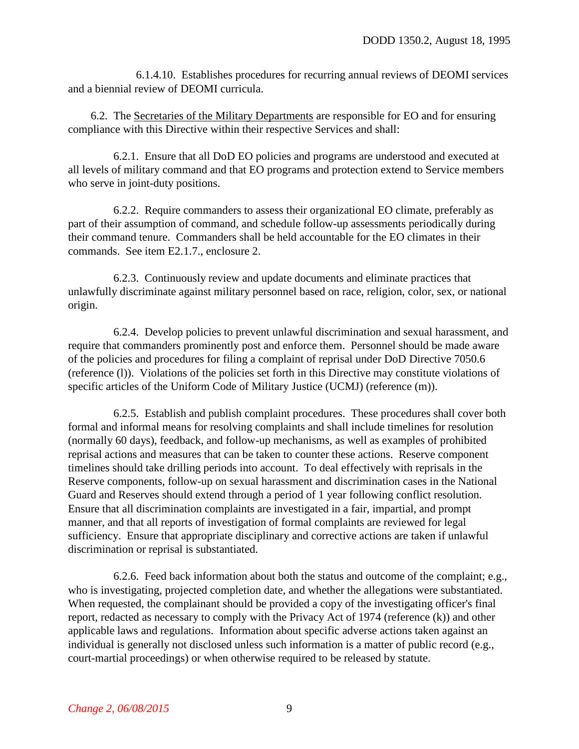6.1.4.10. Establishes procedures for recurring annual reviews of DEOMI services and a biennial review of DEOMI curricula.

6.2. The Secretaries of the Military Departments are responsible for EO and for ensuring compliance with this Directive within their respective Services and shall:

6.2.1. Ensure that all DoD EO policies and programs are understood and executed at all levels of military command and that EO programs and protection extend to Service members who serve in joint-duty positions.

6.2.2. Require commanders to assess their organizational EO climate, preferably as part of their assumption of command, and schedule follow-up assessments periodically during their command tenure. Commanders shall be held accountable for the EO climates in their commands. See item [E2.1.7.,](#page-15-0) enclosure 2.

6.2.3. Continuously review and update documents and eliminate practices that unlawfully discriminate against military personnel based on race, religion, color, sex, or national origin.

<span id="page-8-0"></span>6.2.4. Develop policies to prevent unlawful discrimination and sexual harassment, and require that commanders prominently post and enforce them. Personnel should be made aware of the policies and procedures for filing a complaint of reprisal under DoD Directive 7050.6 [\(reference \(l\)\).](#page-14-3) Violations of the policies set forth in this Directive may constitute violations of specific articles of the Uniform Code of Military Justice (UCMJ) [\(reference \(m\)\).](#page-14-4)

6.2.5. Establish and publish complaint procedures. These procedures shall cover both formal and informal means for resolving complaints and shall include timelines for resolution (normally 60 days), feedback, and follow-up mechanisms, as well as examples of prohibited reprisal actions and measures that can be taken to counter these actions. Reserve component timelines should take drilling periods into account. To deal effectively with reprisals in the Reserve components, follow-up on sexual harassment and discrimination cases in the National Guard and Reserves should extend through a period of 1 year following conflict resolution. Ensure that all discrimination complaints are investigated in a fair, impartial, and prompt manner, and that all reports of investigation of formal complaints are reviewed for legal sufficiency. Ensure that appropriate disciplinary and corrective actions are taken if unlawful discrimination or reprisal is substantiated.

6.2.6. Feed back information about both the status and outcome of the complaint; e.g., who is investigating, projected completion date, and whether the allegations were substantiated. When requested, the complainant should be provided a copy of the investigating officer's final report, redacted as necessary to comply with the Privacy Act of 1974 [\(reference \(k\)\)](#page-14-5) and other applicable laws and regulations. Information about specific adverse actions taken against an individual is generally not disclosed unless such information is a matter of public record (e.g., court-martial proceedings) or when otherwise required to be released by statute.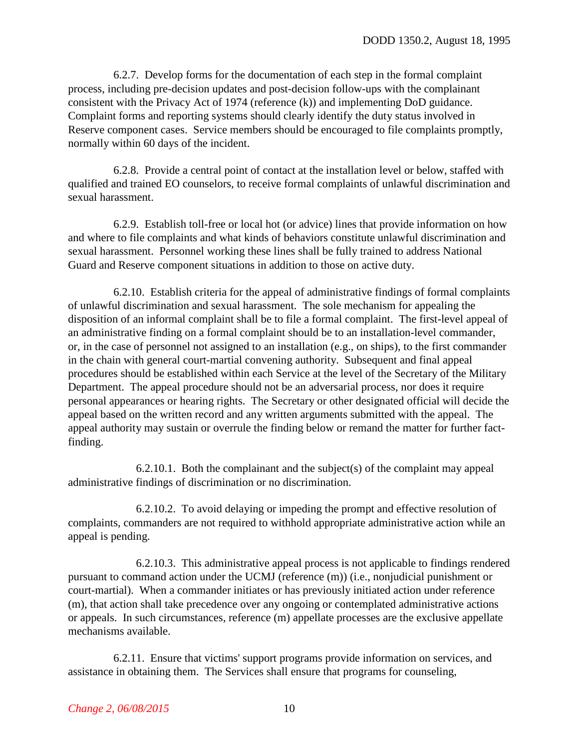6.2.7. Develop forms for the documentation of each step in the formal complaint process, including pre-decision updates and post-decision follow-ups with the complainant consistent with the Privacy Act of 1974 [\(reference \(k\)\)](#page-14-5) and implementing DoD guidance. Complaint forms and reporting systems should clearly identify the duty status involved in Reserve component cases. Service members should be encouraged to file complaints promptly, normally within 60 days of the incident.

6.2.8. Provide a central point of contact at the installation level or below, staffed with qualified and trained EO counselors, to receive formal complaints of unlawful discrimination and sexual harassment.

6.2.9. Establish toll-free or local hot (or advice) lines that provide information on how and where to file complaints and what kinds of behaviors constitute unlawful discrimination and sexual harassment. Personnel working these lines shall be fully trained to address National Guard and Reserve component situations in addition to those on active duty.

6.2.10. Establish criteria for the appeal of administrative findings of formal complaints of unlawful discrimination and sexual harassment. The sole mechanism for appealing the disposition of an informal complaint shall be to file a formal complaint. The first-level appeal of an administrative finding on a formal complaint should be to an installation-level commander, or, in the case of personnel not assigned to an installation (e.g., on ships), to the first commander in the chain with general court-martial convening authority. Subsequent and final appeal procedures should be established within each Service at the level of the Secretary of the Military Department. The appeal procedure should not be an adversarial process, nor does it require personal appearances or hearing rights. The Secretary or other designated official will decide the appeal based on the written record and any written arguments submitted with the appeal. The appeal authority may sustain or overrule the finding below or remand the matter for further factfinding.

6.2.10.1. Both the complainant and the subject(s) of the complaint may appeal administrative findings of discrimination or no discrimination.

6.2.10.2. To avoid delaying or impeding the prompt and effective resolution of complaints, commanders are not required to withhold appropriate administrative action while an appeal is pending.

6.2.10.3. This administrative appeal process is not applicable to findings rendered pursuant to command action under the UCMJ (reference (m)) (i.e., nonjudicial punishment or court-martial). When a commander initiates or has previously initiated action under reference (m), that action shall take precedence over any ongoing or contemplated administrative actions or appeals. In such circumstances, reference (m) appellate processes are the exclusive appellate mechanisms available.

<span id="page-9-0"></span>6.2.11. Ensure that victims' support programs provide information on services, and assistance in obtaining them. The Services shall ensure that programs for counseling,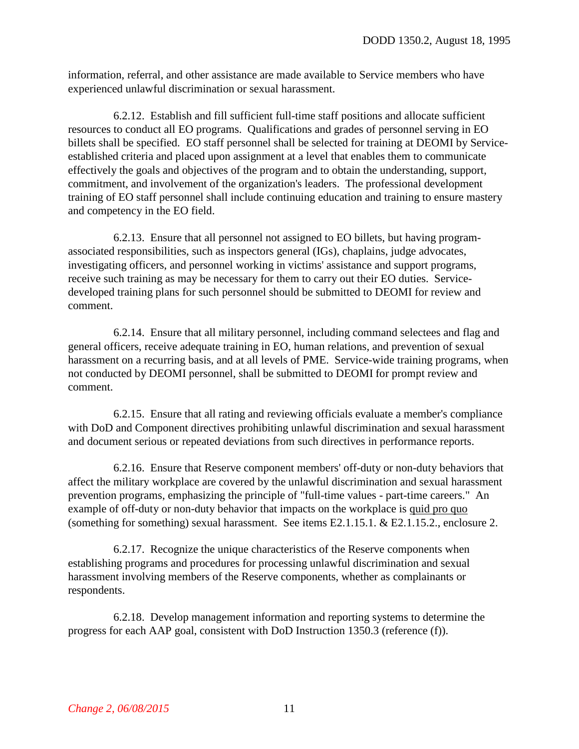information, referral, and other assistance are made available to Service members who have experienced unlawful discrimination or sexual harassment.

6.2.12. Establish and fill sufficient full-time staff positions and allocate sufficient resources to conduct all EO programs. Qualifications and grades of personnel serving in EO billets shall be specified. EO staff personnel shall be selected for training at DEOMI by Serviceestablished criteria and placed upon assignment at a level that enables them to communicate effectively the goals and objectives of the program and to obtain the understanding, support, commitment, and involvement of the organization's leaders. The professional development training of EO staff personnel shall include continuing education and training to ensure mastery and competency in the EO field.

6.2.13. Ensure that all personnel not assigned to EO billets, but having programassociated responsibilities, such as inspectors general (IGs), chaplains, judge advocates, investigating officers, and personnel working in victims' assistance and support programs, receive such training as may be necessary for them to carry out their EO duties. Servicedeveloped training plans for such personnel should be submitted to DEOMI for review and comment.

6.2.14. Ensure that all military personnel, including command selectees and flag and general officers, receive adequate training in EO, human relations, and prevention of sexual harassment on a recurring basis, and at all levels of PME. Service-wide training programs, when not conducted by DEOMI personnel, shall be submitted to DEOMI for prompt review and comment.

6.2.15. Ensure that all rating and reviewing officials evaluate a member's compliance with DoD and Component directives prohibiting unlawful discrimination and sexual harassment and document serious or repeated deviations from such directives in performance reports.

6.2.16. Ensure that Reserve component members' off-duty or non-duty behaviors that affect the military workplace are covered by the unlawful discrimination and sexual harassment prevention programs, emphasizing the principle of "full-time values - part-time careers." An example of off-duty or non-duty behavior that impacts on the workplace is quid pro quo (something for something) sexual harassment. See items [E2.1.15.1.](#page-17-2) & [E2.1.15.2.,](#page-17-3) enclosure 2.

6.2.17. Recognize the unique characteristics of the Reserve components when establishing programs and procedures for processing unlawful discrimination and sexual harassment involving members of the Reserve components, whether as complainants or respondents.

6.2.18. Develop management information and reporting systems to determine the progress for each AAP goal, consistent with DoD Instruction 1350.3 [\(reference \(f\)\).](#page-14-1)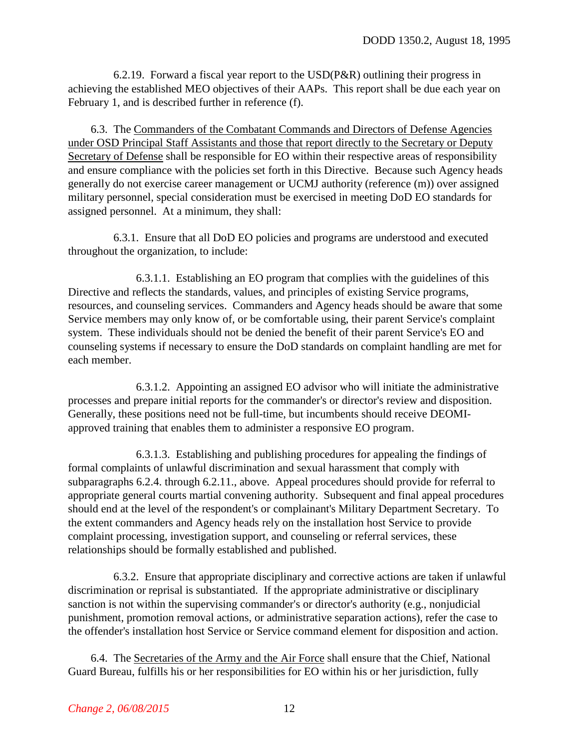<span id="page-11-0"></span>6.2.19. Forward a fiscal year report to the  $USD(P\&R)$  outlining their progress in achieving the established MEO objectives of their AAPs. This report shall be due each year on February 1, and is described further in [reference \(f\).](#page-14-1)

6.3. The Commanders of the Combatant Commands and Directors of Defense Agencies under OSD Principal Staff Assistants and those that report directly to the Secretary or Deputy Secretary of Defense shall be responsible for EO within their respective areas of responsibility and ensure compliance with the policies set forth in this Directive. Because such Agency heads generally do not exercise career management or UCMJ authority (reference (m)) over assigned military personnel, special consideration must be exercised in meeting DoD EO standards for assigned personnel. At a minimum, they shall:

6.3.1. Ensure that all DoD EO policies and programs are understood and executed throughout the organization, to include:

6.3.1.1. Establishing an EO program that complies with the guidelines of this Directive and reflects the standards, values, and principles of existing Service programs, resources, and counseling services. Commanders and Agency heads should be aware that some Service members may only know of, or be comfortable using, their parent Service's complaint system. These individuals should not be denied the benefit of their parent Service's EO and counseling systems if necessary to ensure the DoD standards on complaint handling are met for each member.

6.3.1.2. Appointing an assigned EO advisor who will initiate the administrative processes and prepare initial reports for the commander's or director's review and disposition. Generally, these positions need not be full-time, but incumbents should receive DEOMIapproved training that enables them to administer a responsive EO program.

6.3.1.3. Establishing and publishing procedures for appealing the findings of formal complaints of unlawful discrimination and sexual harassment that comply with [subparagraphs 6.2.4.](#page-8-0) through [6.2.11.,](#page-9-0) above. Appeal procedures should provide for referral to appropriate general courts martial convening authority. Subsequent and final appeal procedures should end at the level of the respondent's or complainant's Military Department Secretary. To the extent commanders and Agency heads rely on the installation host Service to provide complaint processing, investigation support, and counseling or referral services, these relationships should be formally established and published.

6.3.2. Ensure that appropriate disciplinary and corrective actions are taken if unlawful discrimination or reprisal is substantiated. If the appropriate administrative or disciplinary sanction is not within the supervising commander's or director's authority (e.g., nonjudicial punishment, promotion removal actions, or administrative separation actions), refer the case to the offender's installation host Service or Service command element for disposition and action.

6.4. The Secretaries of the Army and the Air Force shall ensure that the Chief, National Guard Bureau, fulfills his or her responsibilities for EO within his or her jurisdiction, fully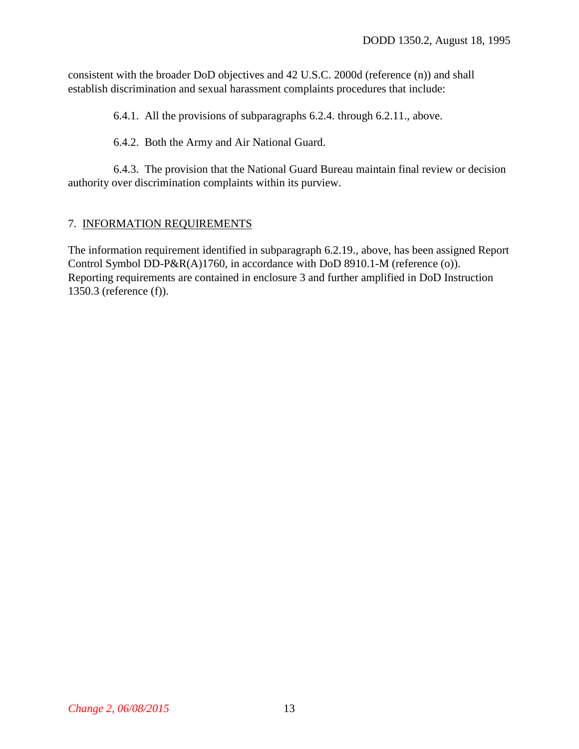consistent with the broader DoD objectives and 42 U.S.C. 2000d [\(reference \(n\)\)](#page-14-6) and shall establish discrimination and sexual harassment complaints procedures that include:

6.4.1. All the provisions of [subparagraphs 6.2.4.](#page-8-0) through [6.2.11.,](#page-9-0) above.

6.4.2. Both the Army and Air National Guard.

6.4.3. The provision that the National Guard Bureau maintain final review or decision authority over discrimination complaints within its purview.

#### 7. INFORMATION REQUIREMENTS

The information requirement identified in [subparagraph 6.2.19.,](#page-11-0) above, has been assigned Report Control Symbol DD-P&R(A)1760, in accordance with DoD 8910.1-M [\(reference \(o\)\).](#page-14-7) Reporting requirements are contained in enclosure 3 and further amplified in DoD Instruction 1350.3 [\(reference \(f\)\).](#page-14-1)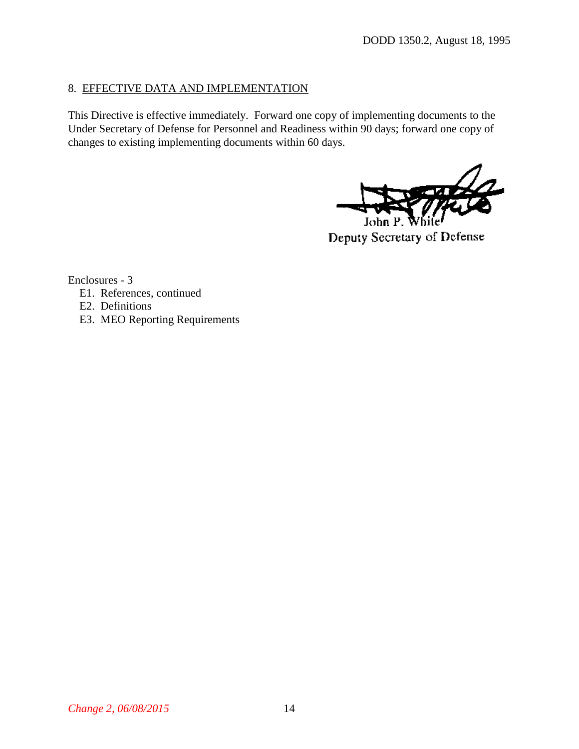# 8. EFFECTIVE DATA AND IMPLEMENTATION

This Directive is effective immediately. Forward one copy of implementing documents to the Under Secretary of Defense for Personnel and Readiness within 90 days; forward one copy of changes to existing implementing documents within 60 days.

John

Deputy Secretary of Defense

Enclosures - 3

- E1. References, continued
- E2. Definitions
- E3. MEO Reporting Requirements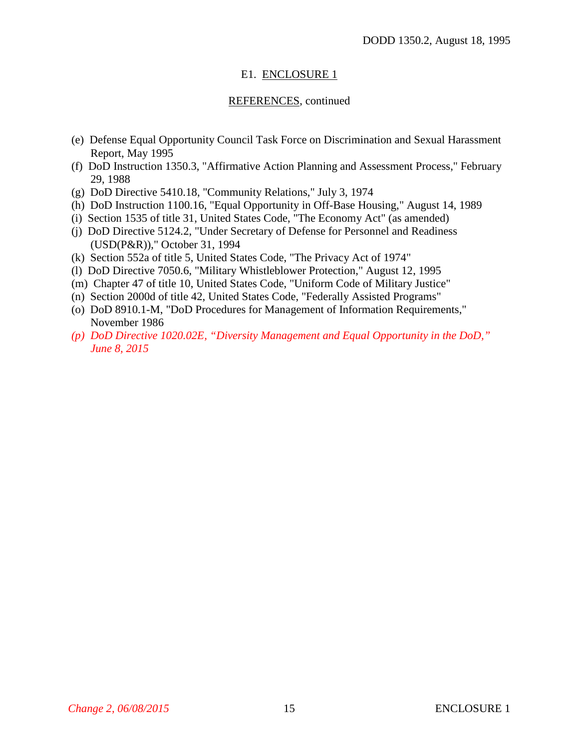# E1. ENCLOSURE 1

## REFERENCES, continued

- <span id="page-14-0"></span>(e) Defense Equal Opportunity Council Task Force on Discrimination and Sexual Harassment Report, May 1995
- <span id="page-14-1"></span>(f) DoD Instruction 1350.3, "Affirmative Action Planning and Assessment Process," February 29, 1988
- <span id="page-14-2"></span>(g) DoD Directive 5410.18, "Community Relations," July 3, 1974
- (h) DoD Instruction 1100.16, "Equal Opportunity in Off-Base Housing," August 14, 1989
- (i) Section 1535 of title 31, United States Code, "The Economy Act" (as amended)
- (j) DoD Directive 5124.2, "Under Secretary of Defense for Personnel and Readiness (USD(P&R))," October 31, 1994
- <span id="page-14-5"></span>(k) Section 552a of title 5, United States Code, "The Privacy Act of 1974"
- <span id="page-14-3"></span>(l) DoD Directive 7050.6, "Military Whistleblower Protection," August 12, 1995
- <span id="page-14-4"></span>(m) Chapter 47 of title 10, United States Code, "Uniform Code of Military Justice"
- <span id="page-14-6"></span>(n) Section 2000d of title 42, United States Code, "Federally Assisted Programs"
- <span id="page-14-7"></span>(o) DoD 8910.1-M, "DoD Procedures for Management of Information Requirements," November 1986
- *(p) DoD Directive 1020.02E, "Diversity Management and Equal Opportunity in the DoD," June 8, 2015*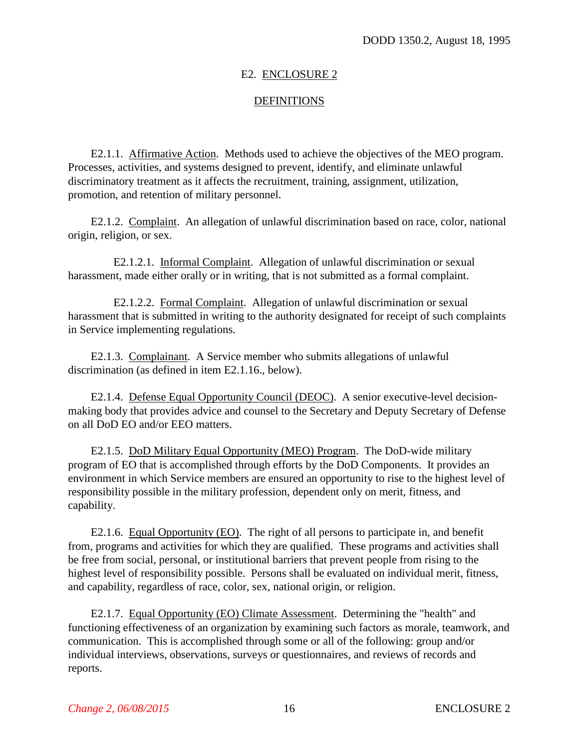# E2. ENCLOSURE 2

# **DEFINITIONS**

E2.1.1. Affirmative Action. Methods used to achieve the objectives of the MEO program. Processes, activities, and systems designed to prevent, identify, and eliminate unlawful discriminatory treatment as it affects the recruitment, training, assignment, utilization, promotion, and retention of military personnel.

E2.1.2. Complaint. An allegation of unlawful discrimination based on race, color, national origin, religion, or sex.

E2.1.2.1. Informal Complaint. Allegation of unlawful discrimination or sexual harassment, made either orally or in writing, that is not submitted as a formal complaint.

E2.1.2.2. Formal Complaint. Allegation of unlawful discrimination or sexual harassment that is submitted in writing to the authority designated for receipt of such complaints in Service implementing regulations.

E2.1.3. Complainant. A Service member who submits allegations of unlawful discrimination (as defined in item [E2.1.16.,](#page-17-1) below).

E2.1.4. Defense Equal Opportunity Council (DEOC). A senior executive-level decisionmaking body that provides advice and counsel to the Secretary and Deputy Secretary of Defense on all DoD EO and/or EEO matters.

E2.1.5. DoD Military Equal Opportunity (MEO) Program. The DoD-wide military program of EO that is accomplished through efforts by the DoD Components. It provides an environment in which Service members are ensured an opportunity to rise to the highest level of responsibility possible in the military profession, dependent only on merit, fitness, and capability.

E2.1.6. Equal Opportunity (EO). The right of all persons to participate in, and benefit from, programs and activities for which they are qualified. These programs and activities shall be free from social, personal, or institutional barriers that prevent people from rising to the highest level of responsibility possible. Persons shall be evaluated on individual merit, fitness, and capability, regardless of race, color, sex, national origin, or religion.

<span id="page-15-0"></span>E2.1.7. Equal Opportunity (EO) Climate Assessment. Determining the "health" and functioning effectiveness of an organization by examining such factors as morale, teamwork, and communication. This is accomplished through some or all of the following: group and/or individual interviews, observations, surveys or questionnaires, and reviews of records and reports.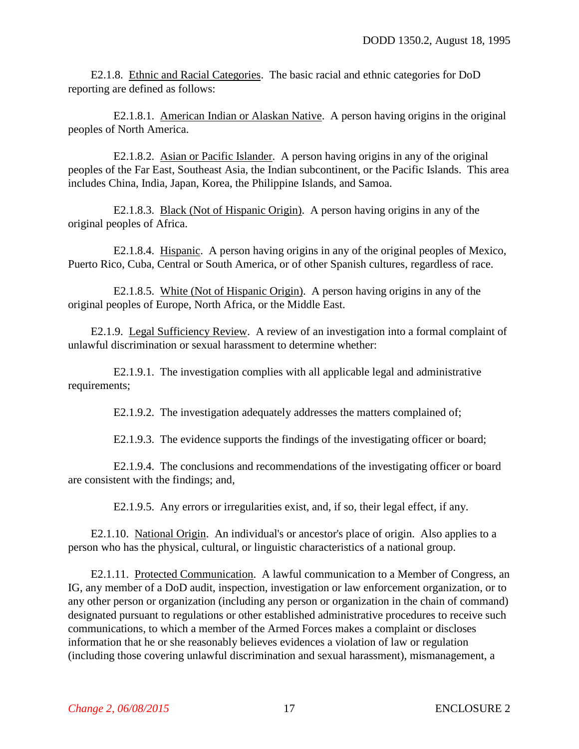E2.1.8. Ethnic and Racial Categories. The basic racial and ethnic categories for DoD reporting are defined as follows:

E2.1.8.1. American Indian or Alaskan Native. A person having origins in the original peoples of North America.

E2.1.8.2. Asian or Pacific Islander. A person having origins in any of the original peoples of the Far East, Southeast Asia, the Indian subcontinent, or the Pacific Islands. This area includes China, India, Japan, Korea, the Philippine Islands, and Samoa.

E2.1.8.3. Black (Not of Hispanic Origin). A person having origins in any of the original peoples of Africa.

E2.1.8.4. Hispanic. A person having origins in any of the original peoples of Mexico, Puerto Rico, Cuba, Central or South America, or of other Spanish cultures, regardless of race.

E2.1.8.5. White (Not of Hispanic Origin). A person having origins in any of the original peoples of Europe, North Africa, or the Middle East.

E2.1.9. Legal Sufficiency Review. A review of an investigation into a formal complaint of unlawful discrimination or sexual harassment to determine whether:

E2.1.9.1. The investigation complies with all applicable legal and administrative requirements;

E2.1.9.2. The investigation adequately addresses the matters complained of;

E2.1.9.3. The evidence supports the findings of the investigating officer or board;

E2.1.9.4. The conclusions and recommendations of the investigating officer or board are consistent with the findings; and,

E2.1.9.5. Any errors or irregularities exist, and, if so, their legal effect, if any.

E2.1.10. National Origin. An individual's or ancestor's place of origin. Also applies to a person who has the physical, cultural, or linguistic characteristics of a national group.

E2.1.11. Protected Communication. A lawful communication to a Member of Congress, an IG, any member of a DoD audit, inspection, investigation or law enforcement organization, or to any other person or organization (including any person or organization in the chain of command) designated pursuant to regulations or other established administrative procedures to receive such communications, to which a member of the Armed Forces makes a complaint or discloses information that he or she reasonably believes evidences a violation of law or regulation (including those covering unlawful discrimination and sexual harassment), mismanagement, a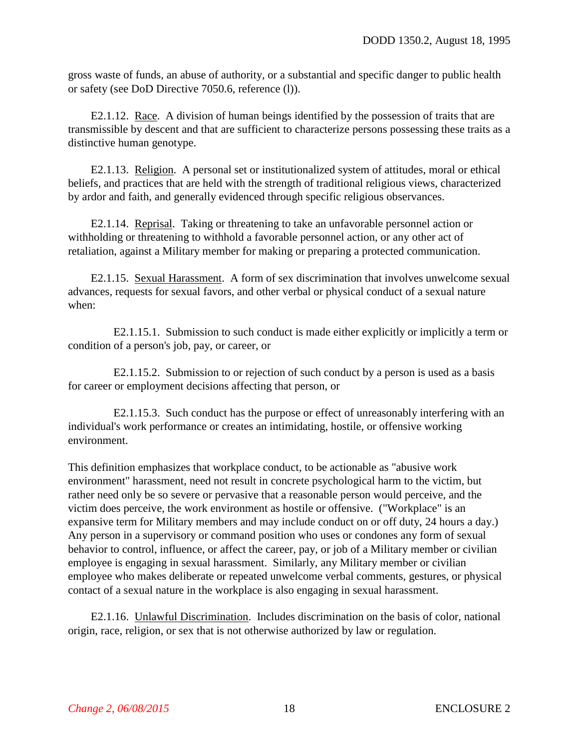gross waste of funds, an abuse of authority, or a substantial and specific danger to public health or safety (see DoD Directive 7050.6, reference (l)).

E2.1.12. Race. A division of human beings identified by the possession of traits that are transmissible by descent and that are sufficient to characterize persons possessing these traits as a distinctive human genotype.

E2.1.13. Religion. A personal set or institutionalized system of attitudes, moral or ethical beliefs, and practices that are held with the strength of traditional religious views, characterized by ardor and faith, and generally evidenced through specific religious observances.

E2.1.14. Reprisal. Taking or threatening to take an unfavorable personnel action or withholding or threatening to withhold a favorable personnel action, or any other act of retaliation, against a Military member for making or preparing a protected communication.

<span id="page-17-0"></span>E2.1.15. Sexual Harassment. A form of sex discrimination that involves unwelcome sexual advances, requests for sexual favors, and other verbal or physical conduct of a sexual nature when:

<span id="page-17-2"></span>E2.1.15.1. Submission to such conduct is made either explicitly or implicitly a term or condition of a person's job, pay, or career, or

<span id="page-17-3"></span>E2.1.15.2. Submission to or rejection of such conduct by a person is used as a basis for career or employment decisions affecting that person, or

E2.1.15.3. Such conduct has the purpose or effect of unreasonably interfering with an individual's work performance or creates an intimidating, hostile, or offensive working environment.

This definition emphasizes that workplace conduct, to be actionable as "abusive work environment" harassment, need not result in concrete psychological harm to the victim, but rather need only be so severe or pervasive that a reasonable person would perceive, and the victim does perceive, the work environment as hostile or offensive. ("Workplace" is an expansive term for Military members and may include conduct on or off duty, 24 hours a day.) Any person in a supervisory or command position who uses or condones any form of sexual behavior to control, influence, or affect the career, pay, or job of a Military member or civilian employee is engaging in sexual harassment. Similarly, any Military member or civilian employee who makes deliberate or repeated unwelcome verbal comments, gestures, or physical contact of a sexual nature in the workplace is also engaging in sexual harassment.

<span id="page-17-1"></span>E2.1.16. Unlawful Discrimination. Includes discrimination on the basis of color, national origin, race, religion, or sex that is not otherwise authorized by law or regulation.